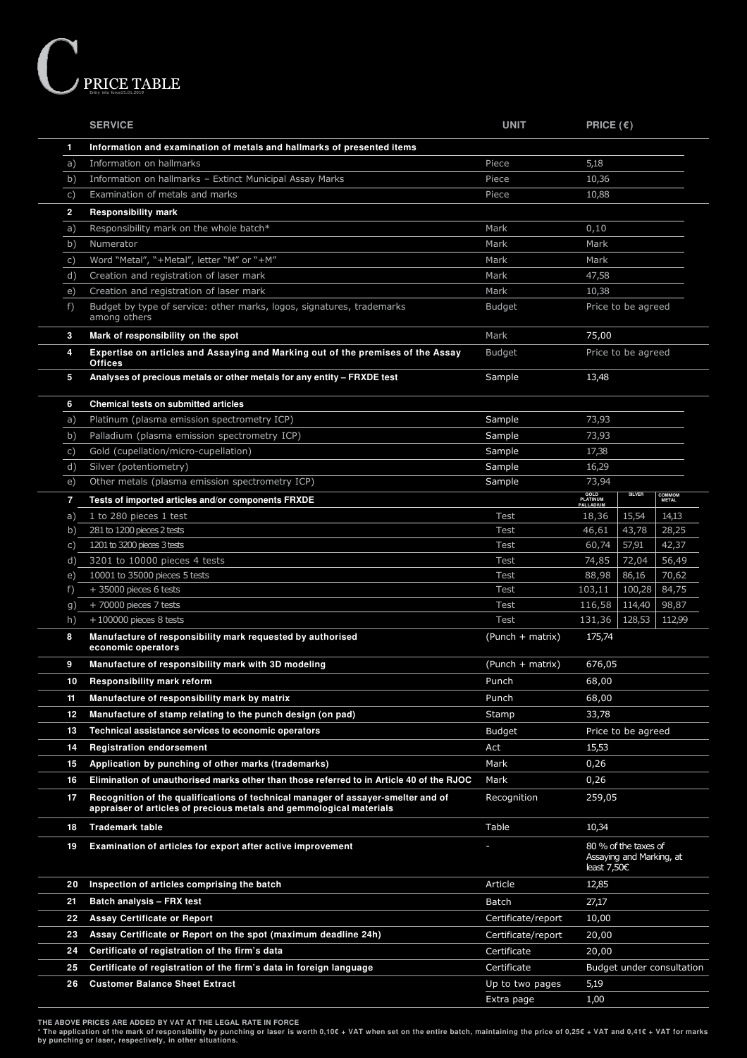

|                | <b>SERVICE</b>                                                                                                                                          | <b>UNIT</b>        | PRICE $(\epsilon)$                             |                        |
|----------------|---------------------------------------------------------------------------------------------------------------------------------------------------------|--------------------|------------------------------------------------|------------------------|
| 1              | Information and examination of metals and hallmarks of presented items                                                                                  |                    |                                                |                        |
| a)             | Information on hallmarks                                                                                                                                | Piece              | 5,18                                           |                        |
| b)             | Information on hallmarks - Extinct Municipal Assay Marks                                                                                                | Piece              | 10,36                                          |                        |
| C)             | Examination of metals and marks                                                                                                                         | Piece              | 10,88                                          |                        |
| $\overline{2}$ | <b>Responsibility mark</b>                                                                                                                              |                    |                                                |                        |
| a)             | Responsibility mark on the whole batch*                                                                                                                 | Mark               | 0,10                                           |                        |
| b)             | Numerator                                                                                                                                               | Mark               | Mark                                           |                        |
| C)             | Word "Metal", "+Metal", letter "M" or "+M"                                                                                                              | Mark               | Mark                                           |                        |
| d)             | Creation and registration of laser mark                                                                                                                 | Mark               | 47,58                                          |                        |
| e)             | Creation and registration of laser mark                                                                                                                 | Mark               | 10,38                                          |                        |
| f)             | Budget by type of service: other marks, logos, signatures, trademarks<br>among others                                                                   | Budget             | Price to be agreed                             |                        |
| 3              | Mark of responsibility on the spot                                                                                                                      | Mark               | 75,00                                          |                        |
| 4              | Expertise on articles and Assaying and Marking out of the premises of the Assay<br><b>Offices</b>                                                       | <b>Budget</b>      | Price to be agreed                             |                        |
| 5              | Analyses of precious metals or other metals for any entity - FRXDE test                                                                                 | Sample             | 13,48                                          |                        |
| 6              | <b>Chemical tests on submitted articles</b>                                                                                                             |                    |                                                |                        |
| a)             | Platinum (plasma emission spectrometry ICP)                                                                                                             | Sample             | 73,93                                          |                        |
| b)             | Palladium (plasma emission spectrometry ICP)                                                                                                            | Sample             | 73,93                                          |                        |
| C)             | Gold (cupellation/micro-cupellation)                                                                                                                    | Sample             | 17,38                                          |                        |
| d)             | Silver (potentiometry)                                                                                                                                  | Sample             | 16,29                                          |                        |
| e)             | Other metals (plasma emission spectrometry ICP)                                                                                                         | Sample             | 73,94                                          |                        |
| 7              | Tests of imported articles and/or components FRXDE                                                                                                      |                    | GOLD<br>PLATINUM<br>PALLADIUM<br><b>SILVER</b> | <b>COMMOM</b><br>METAL |
| a)             | 1 to 280 pieces 1 test                                                                                                                                  | Test               | 15,54<br>18,36                                 | 14,13                  |
| b)             | 281 to 1200 pieces 2 tests                                                                                                                              | Test               | 43,78<br>46,61                                 | 28,25                  |
| C)             | 1201 to 3200 pieces 3 tests                                                                                                                             | Test               | 57,91<br>60,74                                 | 42,37                  |
| $\mathsf{d}$ ) | 3201 to 10000 pieces 4 tests                                                                                                                            | Test               | 74,85<br>72,04                                 | 56,49                  |
| e)             | 10001 to 35000 pieces 5 tests                                                                                                                           | Test               | 88,98<br>86,16                                 | 70,62                  |
| f)             | $+35000$ pieces 6 tests                                                                                                                                 | Test               | 103,11<br>100,28                               | 84,75                  |
| g)             | $+70000$ pieces 7 tests                                                                                                                                 | <b>Test</b>        | 116,58<br>114,40                               | 98,87                  |
| h)             | $+100000$ pieces 8 tests                                                                                                                                | Test               | 131,36<br>128,53                               | 112,99                 |
| 8              | Manufacture of responsibility mark requested by authorised<br>economic operators                                                                        | (Punch + matrix)   | 175,74                                         |                        |
| 9              | Manufacture of responsibility mark with 3D modeling                                                                                                     | (Punch + matrix)   | 676,05                                         |                        |
| 10             | <b>Responsibility mark reform</b>                                                                                                                       | Punch              | 68,00                                          |                        |
| 11             | Manufacture of responsibility mark by matrix                                                                                                            | Punch              | 68,00                                          |                        |
| 12             | Manufacture of stamp relating to the punch design (on pad)                                                                                              | Stamp              | 33,78                                          |                        |
| 13             | Technical assistance services to economic operators                                                                                                     | <b>Budget</b>      | Price to be agreed                             |                        |
| 14             | <b>Registration endorsement</b>                                                                                                                         | Act                | 15,53                                          |                        |
| 15             | Application by punching of other marks (trademarks)                                                                                                     | Mark               | 0,26                                           |                        |
| 16             | Elimination of unauthorised marks other than those referred to in Article 40 of the RJOC                                                                | Mark               | 0,26                                           |                        |
| 17             | Recognition of the qualifications of technical manager of assayer-smelter and of<br>appraiser of articles of precious metals and gemmological materials | Recognition        | 259,05                                         |                        |
| 18             | <b>Trademark table</b>                                                                                                                                  | Table              | 10,34                                          |                        |
| 19             | Examination of articles for export after active improvement                                                                                             |                    | 80 % of the taxes of                           |                        |
|                |                                                                                                                                                         |                    | Assaying and Marking, at<br>least $7,50C$      |                        |
| 20             | Inspection of articles comprising the batch                                                                                                             | Article            | 12,85                                          |                        |
| 21             | <b>Batch analysis - FRX test</b>                                                                                                                        | Batch              | 27,17                                          |                        |
| 22             | <b>Assay Certificate or Report</b>                                                                                                                      | Certificate/report | 10,00                                          |                        |
| 23             | Assay Certificate or Report on the spot (maximum deadline 24h)                                                                                          | Certificate/report | 20,00                                          |                        |
| 24             | Certificate of registration of the firm's data                                                                                                          | Certificate        | 20,00                                          |                        |
| 25             | Certificate of registration of the firm's data in foreign language                                                                                      | Certificate        | Budget under consultation                      |                        |
| 26             | <b>Customer Balance Sheet Extract</b>                                                                                                                   | Up to two pages    | 5,19                                           |                        |
|                |                                                                                                                                                         | Extra page         | 1,00                                           |                        |

THE ABOVE PRICES ARE ADDED BY VAT AT THE LEGAL RATE IN FORCE<br>\* The application of the mark of responsibility by punching or laser is worth 0,10€ + VAT when set on the entire batch, maintaining the price of 0,25€ + VAT and